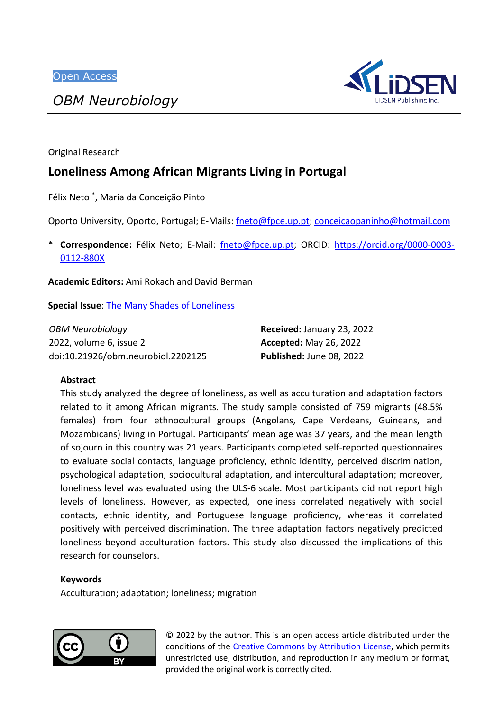*OBM Neurobiology*



Original Research

# **Loneliness Among African Migrants Living in Portugal**

Félix Neto \* , Maria da Conceição Pinto

Oporto University, Oporto, Portugal; E-Mails: [fneto@fpce.up.pt;](mailto:fneto@fpce.up.pt) [conceicaopaninho@hotmail.com](mailto:conceicaopaninho@hotmail.com)

\* **Correspondence:** Félix Neto; E-Mail: [fneto@fpce.up.pt;](mailto:fneto@fpce.up.pt) ORCID: [https://orcid.org/0000-0003-](https://orcid.org/0000-0003-0112-880X) [0112-880X](https://orcid.org/0000-0003-0112-880X)

**Academic Editors:** Ami Rokach and David Berman

**Special Issue**: [The Many Shades of Loneliness](https://www.lidsen.com/journals/neurobiology/neurobiology-special-issues/many-shades-loneliness)

| OBM Neurobiology                   | Received: January 23, 2022    |
|------------------------------------|-------------------------------|
| 2022, volume 6, issue 2            | <b>Accepted: May 26, 2022</b> |
| doi:10.21926/obm.neurobiol.2202125 | Published: June 08, 2022      |

# **Abstract**

This study analyzed the degree of loneliness, as well as acculturation and adaptation factors related to it among African migrants. The study sample consisted of 759 migrants (48.5% females) from four ethnocultural groups (Angolans, Cape Verdeans, Guineans, and Mozambicans) living in Portugal. Participants' mean age was 37 years, and the mean length of sojourn in this country was 21 years. Participants completed self-reported questionnaires to evaluate social contacts, language proficiency, ethnic identity, perceived discrimination, psychological adaptation, sociocultural adaptation, and intercultural adaptation; moreover, loneliness level was evaluated using the ULS-6 scale. Most participants did not report high levels of loneliness. However, as expected, loneliness correlated negatively with social contacts, ethnic identity, and Portuguese language proficiency, whereas it correlated positively with perceived discrimination. The three adaptation factors negatively predicted loneliness beyond acculturation factors. This study also discussed the implications of this research for counselors.

# **Keywords**

Acculturation; adaptation; loneliness; migration



© 2022 by the author. This is an open access article distributed under the conditions of the [Creative Commons by Attribution License,](http://creativecommons.org/licenses/by/4.0/) which permits unrestricted use, distribution, and reproduction in any medium or format, provided the original work is correctly cited.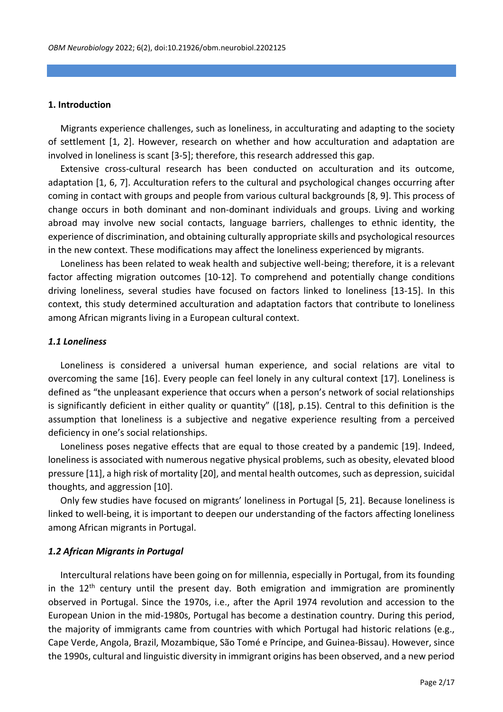#### **1. Introduction**

Migrants experience challenges, such as loneliness, in acculturating and adapting to the society of settlement [1, 2]. However, research on whether and how acculturation and adaptation are involved in loneliness is scant [3-5]; therefore, this research addressed this gap.

Extensive cross-cultural research has been conducted on acculturation and its outcome, adaptation [1, 6, 7]. Acculturation refers to the cultural and psychological changes occurring after coming in contact with groups and people from various cultural backgrounds [8, 9]. This process of change occurs in both dominant and non-dominant individuals and groups. Living and working abroad may involve new social contacts, language barriers, challenges to ethnic identity, the experience of discrimination, and obtaining culturally appropriate skills and psychological resources in the new context. These modifications may affect the loneliness experienced by migrants.

Loneliness has been related to weak health and subjective well-being; therefore, it is a relevant factor affecting migration outcomes [10-12]. To comprehend and potentially change conditions driving loneliness, several studies have focused on factors linked to loneliness [13-15]. In this context, this study determined acculturation and adaptation factors that contribute to loneliness among African migrants living in a European cultural context.

#### *1.1 Loneliness*

Loneliness is considered a universal human experience, and social relations are vital to overcoming the same [16]. Every people can feel lonely in any cultural context [17]. Loneliness is defined as "the unpleasant experience that occurs when a person's network of social relationships is significantly deficient in either quality or quantity" ([18], p.15). Central to this definition is the assumption that loneliness is a subjective and negative experience resulting from a perceived deficiency in one's social relationships.

Loneliness poses negative effects that are equal to those created by a pandemic [19]. Indeed, loneliness is associated with numerous negative physical problems, such as obesity, elevated blood pressure [11], a high risk of mortality [20], and mental health outcomes, such as depression, suicidal thoughts, and aggression [10].

Only few studies have focused on migrants' loneliness in Portugal [5, 21]. Because loneliness is linked to well-being, it is important to deepen our understanding of the factors affecting loneliness among African migrants in Portugal.

## *1.2 African Migrants in Portugal*

Intercultural relations have been going on for millennia, especially in Portugal, from its founding in the  $12<sup>th</sup>$  century until the present day. Both emigration and immigration are prominently observed in Portugal. Since the 1970s, i.e., after the April 1974 revolution and accession to the European Union in the mid-1980s, Portugal has become a destination country. During this period, the majority of immigrants came from countries with which Portugal had historic relations (e.g., Cape Verde, Angola, Brazil, Mozambique, São Tomé e Príncipe, and Guinea-Bissau). However, since the 1990s, cultural and linguistic diversity in immigrant origins has been observed, and a new period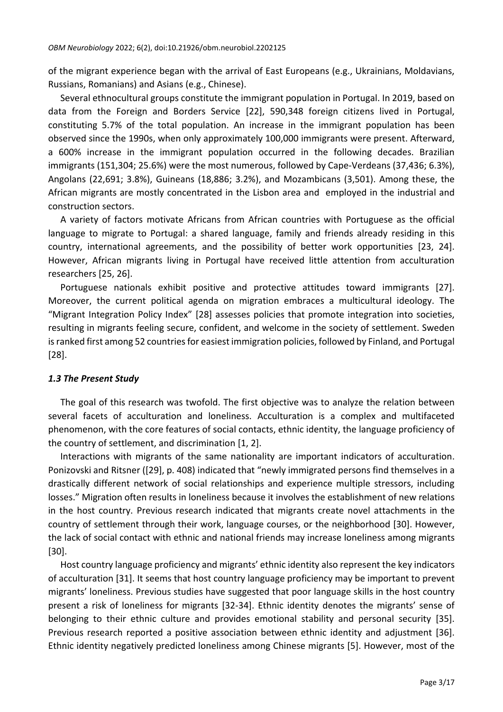of the migrant experience began with the arrival of East Europeans (e.g., Ukrainians, Moldavians, Russians, Romanians) and Asians (e.g., Chinese).

Several ethnocultural groups constitute the immigrant population in Portugal. In 2019, based on data from the Foreign and Borders Service [22], 590,348 foreign citizens lived in Portugal, constituting 5.7% of the total population. An increase in the immigrant population has been observed since the 1990s, when only approximately 100,000 immigrants were present. Afterward, a 600% increase in the immigrant population occurred in the following decades. Brazilian immigrants (151,304; 25.6%) were the most numerous, followed by Cape-Verdeans (37,436; 6.3%), Angolans (22,691; 3.8%), Guineans (18,886; 3.2%), and Mozambicans (3,501). Among these, the African migrants are mostly concentrated in the Lisbon area and employed in the industrial and construction sectors.

A variety of factors motivate Africans from African countries with Portuguese as the official language to migrate to Portugal: a shared language, family and friends already residing in this country, international agreements, and the possibility of better work opportunities [23, 24]. However, African migrants living in Portugal have received little attention from acculturation researchers [25, 26].

Portuguese nationals exhibit positive and protective attitudes toward immigrants [27]. Moreover, the current political agenda on migration embraces a multicultural ideology. The "Migrant Integration Policy Index" [28] assesses policies that promote integration into societies, resulting in migrants feeling secure, confident, and welcome in the society of settlement. Sweden is ranked first among 52 countries for easiest immigration policies, followed by Finland, and Portugal [28].

# *1.3 The Present Study*

The goal of this research was twofold. The first objective was to analyze the relation between several facets of acculturation and loneliness. Acculturation is a complex and multifaceted phenomenon, with the core features of social contacts, ethnic identity, the language proficiency of the country of settlement, and discrimination [1, 2].

Interactions with migrants of the same nationality are important indicators of acculturation. Ponizovski and Ritsner ([29], p. 408) indicated that "newly immigrated persons find themselves in a drastically different network of social relationships and experience multiple stressors, including losses." Migration often results in loneliness because it involves the establishment of new relations in the host country. Previous research indicated that migrants create novel attachments in the country of settlement through their work, language courses, or the neighborhood [30]. However, the lack of social contact with ethnic and national friends may increase loneliness among migrants [30].

Host country language proficiency and migrants' ethnic identity also represent the key indicators of acculturation [31]. It seems that host country language proficiency may be important to prevent migrants' loneliness. Previous studies have suggested that poor language skills in the host country present a risk of loneliness for migrants [32-34]. Ethnic identity denotes the migrants' sense of belonging to their ethnic culture and provides emotional stability and personal security [35]. Previous research reported a positive association between ethnic identity and adjustment [36]. Ethnic identity negatively predicted loneliness among Chinese migrants [5]. However, most of the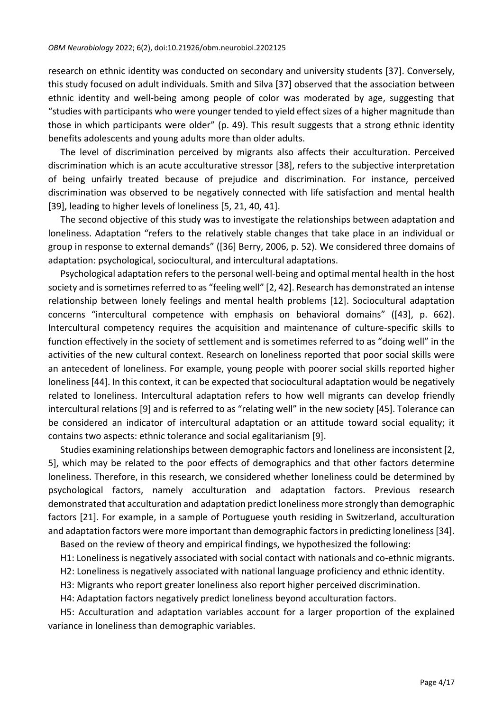research on ethnic identity was conducted on secondary and university students [37]. Conversely, this study focused on adult individuals. Smith and Silva [37] observed that the association between ethnic identity and well-being among people of color was moderated by age, suggesting that "studies with participants who were younger tended to yield effect sizes of a higher magnitude than those in which participants were older" (p. 49). This result suggests that a strong ethnic identity benefits adolescents and young adults more than older adults.

The level of discrimination perceived by migrants also affects their acculturation. Perceived discrimination which is an acute acculturative stressor [38], refers to the subjective interpretation of being unfairly treated because of prejudice and discrimination. For instance, perceived discrimination was observed to be negatively connected with life satisfaction and mental health [39], leading to higher levels of loneliness [5, 21, 40, 41].

The second objective of this study was to investigate the relationships between adaptation and loneliness. Adaptation "refers to the relatively stable changes that take place in an individual or group in response to external demands" ([36] Berry, 2006, p. 52). We considered three domains of adaptation: psychological, sociocultural, and intercultural adaptations.

Psychological adaptation refers to the personal well-being and optimal mental health in the host society and is sometimes referred to as "feeling well" [2, 42]. Research has demonstrated an intense relationship between lonely feelings and mental health problems [12]. Sociocultural adaptation concerns "intercultural competence with emphasis on behavioral domains" ([43], p. 662). Intercultural competency requires the acquisition and maintenance of culture-specific skills to function effectively in the society of settlement and is sometimes referred to as "doing well" in the activities of the new cultural context. Research on loneliness reported that poor social skills were an antecedent of loneliness. For example, young people with poorer social skills reported higher loneliness [44]. In this context, it can be expected that sociocultural adaptation would be negatively related to loneliness. Intercultural adaptation refers to how well migrants can develop friendly intercultural relations [9] and is referred to as "relating well" in the new society [45]. Tolerance can be considered an indicator of intercultural adaptation or an attitude toward social equality; it contains two aspects: ethnic tolerance and social egalitarianism [9].

Studies examining relationships between demographic factors and loneliness are inconsistent [2, 5], which may be related to the poor effects of demographics and that other factors determine loneliness. Therefore, in this research, we considered whether loneliness could be determined by psychological factors, namely acculturation and adaptation factors. Previous research demonstrated that acculturation and adaptation predict loneliness more strongly than demographic factors [21]. For example, in a sample of Portuguese youth residing in Switzerland, acculturation and adaptation factors were more important than demographic factors in predicting loneliness [34].

Based on the review of theory and empirical findings, we hypothesized the following:

H1: Loneliness is negatively associated with social contact with nationals and co-ethnic migrants.

H2: Loneliness is negatively associated with national language proficiency and ethnic identity.

H3: Migrants who report greater loneliness also report higher perceived discrimination.

H4: Adaptation factors negatively predict loneliness beyond acculturation factors.

H5: Acculturation and adaptation variables account for a larger proportion of the explained variance in loneliness than demographic variables.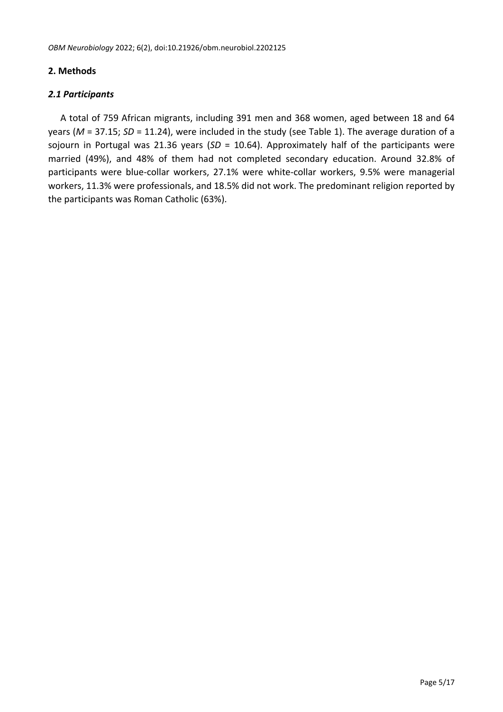# **2. Methods**

# *2.1 Participants*

A total of 759 African migrants, including 391 men and 368 women, aged between 18 and 64 years (*M* = 37.15; *SD* = 11.24), were included in the study (see Table 1). The average duration of a sojourn in Portugal was 21.36 years (*SD* = 10.64). Approximately half of the participants were married (49%), and 48% of them had not completed secondary education. Around 32.8% of participants were blue-collar workers, 27.1% were white-collar workers, 9.5% were managerial workers, 11.3% were professionals, and 18.5% did not work. The predominant religion reported by the participants was Roman Catholic (63%).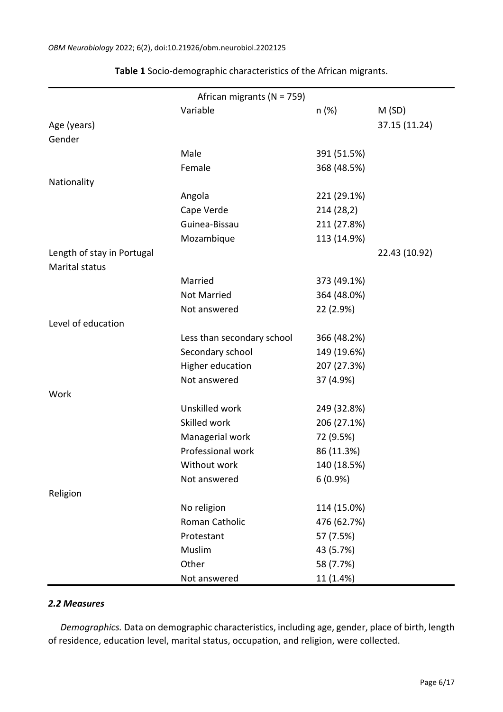| African migrants (N = 759) |                            |             |               |  |  |  |
|----------------------------|----------------------------|-------------|---------------|--|--|--|
|                            | Variable                   | n (%)       | M(SD)         |  |  |  |
| Age (years)                |                            |             | 37.15 (11.24) |  |  |  |
| Gender                     |                            |             |               |  |  |  |
|                            | Male                       | 391 (51.5%) |               |  |  |  |
|                            | Female                     | 368 (48.5%) |               |  |  |  |
| Nationality                |                            |             |               |  |  |  |
|                            | Angola                     | 221 (29.1%) |               |  |  |  |
|                            | Cape Verde                 | 214 (28,2)  |               |  |  |  |
|                            | Guinea-Bissau              | 211 (27.8%) |               |  |  |  |
|                            | Mozambique                 | 113 (14.9%) |               |  |  |  |
| Length of stay in Portugal |                            |             | 22.43 (10.92) |  |  |  |
| Marital status             |                            |             |               |  |  |  |
|                            | Married                    | 373 (49.1%) |               |  |  |  |
|                            | <b>Not Married</b>         | 364 (48.0%) |               |  |  |  |
|                            | Not answered               | 22 (2.9%)   |               |  |  |  |
| Level of education         |                            |             |               |  |  |  |
|                            | Less than secondary school | 366 (48.2%) |               |  |  |  |
|                            | Secondary school           | 149 (19.6%) |               |  |  |  |
|                            | Higher education           | 207 (27.3%) |               |  |  |  |
|                            | Not answered               | 37 (4.9%)   |               |  |  |  |
| Work                       |                            |             |               |  |  |  |
|                            | Unskilled work             | 249 (32.8%) |               |  |  |  |
|                            | Skilled work               | 206 (27.1%) |               |  |  |  |
|                            | Managerial work            | 72 (9.5%)   |               |  |  |  |
|                            | Professional work          | 86 (11.3%)  |               |  |  |  |
|                            | Without work               | 140 (18.5%) |               |  |  |  |
|                            | Not answered               | 6(0.9%      |               |  |  |  |
| Religion                   |                            |             |               |  |  |  |
|                            | No religion                | 114 (15.0%) |               |  |  |  |
|                            | Roman Catholic             | 476 (62.7%) |               |  |  |  |
|                            | Protestant                 | 57 (7.5%)   |               |  |  |  |
|                            | Muslim                     | 43 (5.7%)   |               |  |  |  |
|                            | Other                      | 58 (7.7%)   |               |  |  |  |
|                            | Not answered               | 11 (1.4%)   |               |  |  |  |

**Table 1** Socio-demographic characteristics of the African migrants.

#### *2.2 Measures*

*Demographics.* Data on demographic characteristics, including age, gender, place of birth, length of residence, education level, marital status, occupation, and religion, were collected.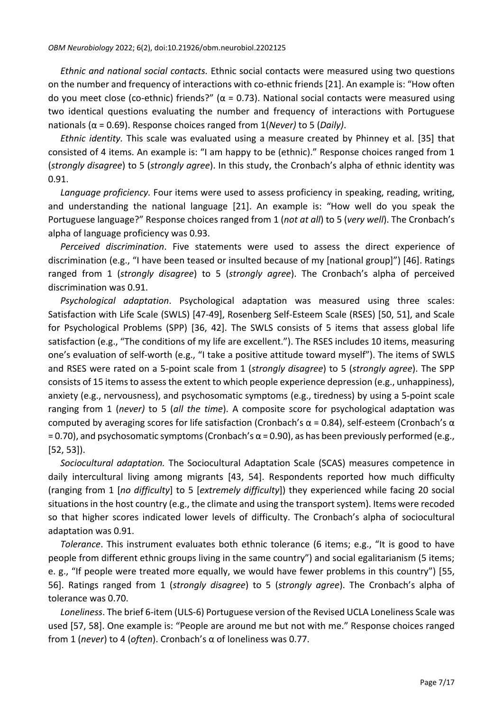*Ethnic and national social contacts.* Ethnic social contacts were measured using two questions on the number and frequency of interactions with co-ethnic friends [21]. An example is: "How often do you meet close (co-ethnic) friends?" ( $\alpha$  = 0.73). National social contacts were measured using two identical questions evaluating the number and frequency of interactions with Portuguese nationals (α = 0.69). Response choices ranged from 1(*Never)* to 5 (*Daily)*.

*Ethnic identity.* This scale was evaluated using a measure created by Phinney et al. [35] that consisted of 4 items. An example is: "I am happy to be (ethnic)." Response choices ranged from 1 (*strongly disagree*) to 5 (*strongly agree*). In this study, the Cronbach's alpha of ethnic identity was 0.91.

*Language proficiency.* Four items were used to assess proficiency in speaking, reading, writing, and understanding the national language [21]. An example is: "How well do you speak the Portuguese language?" Response choices ranged from 1 (*not at all*) to 5 (*very well*). The Cronbach's alpha of language proficiency was 0.93.

*Perceived discrimination*. Five statements were used to assess the direct experience of discrimination (e.g., "I have been teased or insulted because of my [national group]") [46]. Ratings ranged from 1 (*strongly disagree*) to 5 (*strongly agree*). The Cronbach's alpha of perceived discrimination was 0.91.

*Psychological adaptation*. Psychological adaptation was measured using three scales: Satisfaction with Life Scale (SWLS) [47-49], Rosenberg Self-Esteem Scale (RSES) [50, 51], and Scale for Psychological Problems (SPP) [36, 42]. The SWLS consists of 5 items that assess global life satisfaction (e.g., "The conditions of my life are excellent."). The RSES includes 10 items, measuring one's evaluation of self-worth (e.g., "I take a positive attitude toward myself"). The items of SWLS and RSES were rated on a 5-point scale from 1 (*strongly disagree*) to 5 (*strongly agree*). The SPP consists of 15 items to assess the extent to which people experience depression (e.g., unhappiness), anxiety (e.g., nervousness), and psychosomatic symptoms (e.g., tiredness) by using a 5-point scale ranging from 1 (*never)* to 5 (*all the time*). A composite score for psychological adaptation was computed by averaging scores for life satisfaction (Cronbach's  $\alpha$  = 0.84), self-esteem (Cronbach's  $\alpha$  $= 0.70$ ), and psychosomatic symptoms (Cronbach's α = 0.90), as has been previously performed (e.g., [52, 53]).

*Sociocultural adaptation.* The Sociocultural Adaptation Scale (SCAS) measures competence in daily intercultural living among migrants [43, 54]. Respondents reported how much difficulty (ranging from 1 [*no difficulty*] to 5 [*extremely difficulty*]) they experienced while facing 20 social situations in the host country (e.g., the climate and using the transport system). Items were recoded so that higher scores indicated lower levels of difficulty. The Cronbach's alpha of sociocultural adaptation was 0.91.

*Tolerance*. This instrument evaluates both ethnic tolerance (6 items; e.g., "It is good to have people from different ethnic groups living in the same country") and social egalitarianism (5 items; e. g., "If people were treated more equally, we would have fewer problems in this country") [55, 56]. Ratings ranged from 1 (*strongly disagree*) to 5 (*strongly agree*). The Cronbach's alpha of tolerance was 0.70.

*Loneliness*. The brief 6-item (ULS-6) Portuguese version of the Revised UCLA Loneliness Scale was used [57, 58]. One example is: "People are around me but not with me." Response choices ranged from 1 (*never*) to 4 (*often*). Cronbach's α of loneliness was 0.77.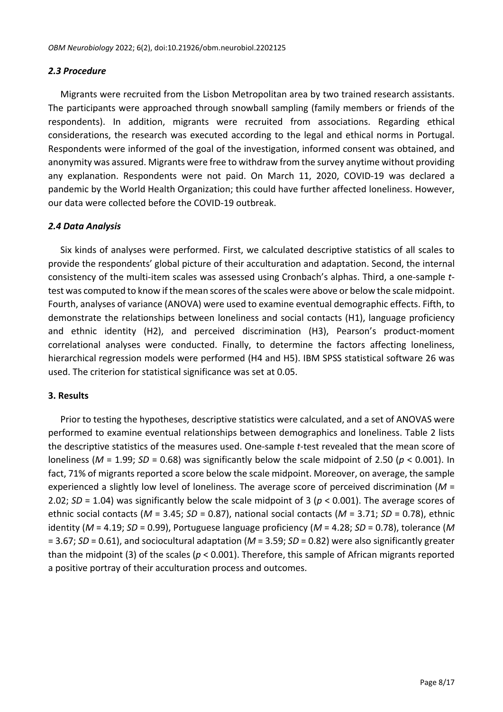#### *2.3 Procedure*

Migrants were recruited from the Lisbon Metropolitan area by two trained research assistants. The participants were approached through snowball sampling (family members or friends of the respondents). In addition, migrants were recruited from associations. Regarding ethical considerations, the research was executed according to the legal and ethical norms in Portugal. Respondents were informed of the goal of the investigation, informed consent was obtained, and anonymity was assured. Migrants were free to withdraw from the survey anytime without providing any explanation. Respondents were not paid. On March 11, 2020, COVID-19 was declared a pandemic by the World Health Organization; this could have further affected loneliness. However, our data were collected before the COVID-19 outbreak.

## *2.4 Data Analysis*

Six kinds of analyses were performed. First, we calculated descriptive statistics of all scales to provide the respondents' global picture of their acculturation and adaptation. Second, the internal consistency of the multi-item scales was assessed using Cronbach's alphas. Third, a one-sample *t*test was computed to know if the mean scores of the scales were above or below the scale midpoint. Fourth, analyses of variance (ANOVA) were used to examine eventual demographic effects. Fifth, to demonstrate the relationships between loneliness and social contacts (H1), language proficiency and ethnic identity (H2), and perceived discrimination (H3), Pearson's product-moment correlational analyses were conducted. Finally, to determine the factors affecting loneliness, hierarchical regression models were performed (H4 and H5). IBM SPSS statistical software 26 was used. The criterion for statistical significance was set at 0.05.

#### **3. Results**

Prior to testing the hypotheses, descriptive statistics were calculated, and a set of ANOVAS were performed to examine eventual relationships between demographics and loneliness. Table 2 lists the descriptive statistics of the measures used. One-sample *t*-test revealed that the mean score of loneliness ( $M = 1.99$ ;  $SD = 0.68$ ) was significantly below the scale midpoint of 2.50 ( $p < 0.001$ ). In fact, 71% of migrants reported a score below the scale midpoint. Moreover, on average, the sample experienced a slightly low level of loneliness. The average score of perceived discrimination (*M* = 2.02; *SD* = 1.04) was significantly below the scale midpoint of 3 (*p* < 0.001). The average scores of ethnic social contacts (*M* = 3.45; *SD* = 0.87), national social contacts (*M* = 3.71; *SD* = 0.78), ethnic identity (*M* = 4.19; *SD* = 0.99), Portuguese language proficiency (*M* = 4.28; *SD* = 0.78), tolerance (*M* = 3.67; *SD* = 0.61), and sociocultural adaptation (*M* = 3.59; *SD* = 0.82) were also significantly greater than the midpoint (3) of the scales (*p* < 0.001). Therefore, this sample of African migrants reported a positive portray of their acculturation process and outcomes.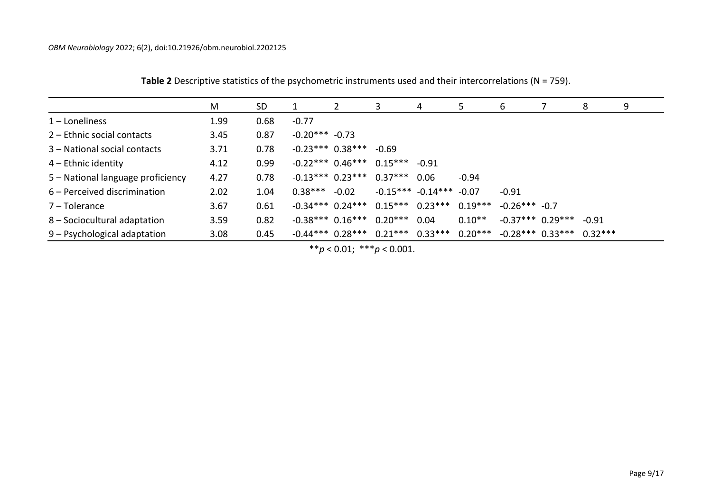|                                   | M    | <b>SD</b> | $\mathbf{1}$    | 2                  | 3                                                                     | 4                             | 5.        | 6                  | 8       | 9 |
|-----------------------------------|------|-----------|-----------------|--------------------|-----------------------------------------------------------------------|-------------------------------|-----------|--------------------|---------|---|
| $1$ – Loneliness                  | 1.99 | 0.68      | $-0.77$         |                    |                                                                       |                               |           |                    |         |   |
| 2 – Ethnic social contacts        | 3.45 | 0.87      | $-0.20***-0.73$ |                    |                                                                       |                               |           |                    |         |   |
| 3 – National social contacts      | 3.71 | 0.78      |                 | $-0.23***$ 0.38*** | $-0.69$                                                               |                               |           |                    |         |   |
| $4$ – Ethnic identity             | 4.12 | 0.99      |                 | $-0.22***$ 0.46*** | $0.15***$                                                             | $-0.91$                       |           |                    |         |   |
| 5 - National language proficiency | 4.27 | 0.78      |                 | $-0.13***$ 0.23*** | $0.37***$                                                             | 0.06                          | $-0.94$   |                    |         |   |
| 6 – Perceived discrimination      | 2.02 | 1.04      | $0.38***$       | $-0.02$            |                                                                       | $-0.15***$ $-0.14***$ $-0.07$ |           | $-0.91$            |         |   |
| 7 – Tolerance                     | 3.67 | 0.61      |                 | $-0.34***$ 0.24*** | $0.15***$ 0.23***                                                     |                               | $0.19***$ | $-0.26***$ -0.7    |         |   |
| 8 – Sociocultural adaptation      | 3.59 | 0.82      |                 | $-0.38***$ 0.16*** | $0.20***$                                                             | 0.04                          | $0.10**$  | $-0.37***$ 0.29*** | $-0.91$ |   |
| 9 – Psychological adaptation      | 3.08 | 0.45      |                 |                    | $-0.44***$ 0.28*** 0.21*** 0.33*** 0.20*** $-0.28***$ 0.33*** 0.32*** |                               |           |                    |         |   |

**Table 2** Descriptive statistics of the psychometric instruments used and their intercorrelations (N = 759).

\*\**p* < 0.01; \*\*\**p* < 0.001.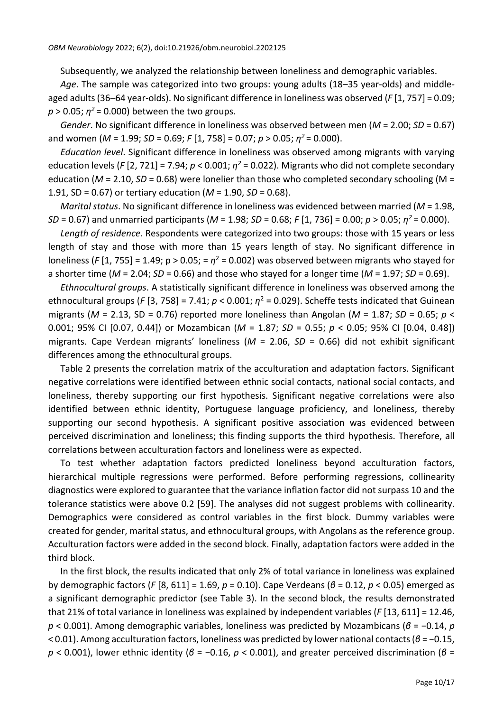Subsequently, we analyzed the relationship between loneliness and demographic variables.

*Age*. The sample was categorized into two groups: young adults (18–35 year-olds) and middleaged adults (36–64 year-olds). No significant difference in loneliness was observed (*F* [1, 757] = 0.09;  $p > 0.05$ ;  $\eta^2$  = 0.000) between the two groups.

*Gender*. No significant difference in loneliness was observed between men (*M* = 2.00; *SD* = 0.67) and women (*M* = 1.99; *SD* = 0.69; *F* [1, 758] = 0.07; *p* > 0.05; *η <sup>2</sup>*= 0.000).

*Education level*. Significant difference in loneliness was observed among migrants with varying education levels (*F* [2, 721] = 7.94;  $p < 0.001$ ;  $\eta^2$  = 0.022). Migrants who did not complete secondary education (*M* = 2.10, *SD* = 0.68) were lonelier than those who completed secondary schooling (M = 1.91, SD = 0.67) or tertiary education (*M* = 1.90, *SD* = 0.68).

*Marital status*. No significant difference in loneliness was evidenced between married (*M* = 1.98, *SD* = 0.67) and unmarried participants (*M* = 1.98; *SD* = 0.68; *F* [1, 736] = 0.00; *p* > 0.05; *η <sup>2</sup>*= 0.000).

*Length of residence*. Respondents were categorized into two groups: those with 15 years or less length of stay and those with more than 15 years length of stay. No significant difference in loneliness ( $F$  [1, 755] = 1.49;  $p > 0.05$ ; =  $\eta^2$  = 0.002) was observed between migrants who stayed for a shorter time (*M* = 2.04; *SD* = 0.66) and those who stayed for a longer time (*M* = 1.97; *SD* = 0.69).

*Ethnocultural groups*. A statistically significant difference in loneliness was observed among the ethnocultural groups (*F* [3, 758] = 7.41;  $p < 0.001$ ;  $\eta^2$  = 0.029). Scheffe tests indicated that Guinean migrants (*M* = 2.13, SD = 0.76) reported more loneliness than Angolan (*M* = 1.87; *SD* = 0.65; *p* < 0.001; 95% CI [0.07, 0.44]) or Mozambican (*M* = 1.87; *SD* = 0.55; *p* < 0.05; 95% CI [0.04, 0.48]) migrants. Cape Verdean migrants' loneliness (*M* = 2.06, *SD* = 0.66) did not exhibit significant differences among the ethnocultural groups.

Table 2 presents the correlation matrix of the acculturation and adaptation factors. Significant negative correlations were identified between ethnic social contacts, national social contacts, and loneliness, thereby supporting our first hypothesis. Significant negative correlations were also identified between ethnic identity, Portuguese language proficiency, and loneliness, thereby supporting our second hypothesis. A significant positive association was evidenced between perceived discrimination and loneliness; this finding supports the third hypothesis. Therefore, all correlations between acculturation factors and loneliness were as expected.

To test whether adaptation factors predicted loneliness beyond acculturation factors, hierarchical multiple regressions were performed. Before performing regressions, collinearity diagnostics were explored to guarantee that the variance inflation factor did not surpass 10 and the tolerance statistics were above 0.2 [59]. The analyses did not suggest problems with collinearity. Demographics were considered as control variables in the first block. Dummy variables were created for gender, marital status, and ethnocultural groups, with Angolans as the reference group. Acculturation factors were added in the second block. Finally, adaptation factors were added in the third block.

In the first block, the results indicated that only 2% of total variance in loneliness was explained by demographic factors (*F* [8, 611] = 1.69, *p* = 0.10). Cape Verdeans (*β* = 0.12, *p* < 0.05) emerged as a significant demographic predictor (see Table 3). In the second block, the results demonstrated that 21% of total variance in loneliness was explained by independent variables (*F* [13, 611] = 12.46, *p* < 0.001). Among demographic variables, loneliness was predicted by Mozambicans (*β* = −0.14, *p* < 0.01). Among acculturation factors, loneliness was predicted by lower national contacts(*β* = −0.15, *p* < 0.001), lower ethnic identity (*β* = −0.16, *p* < 0.001), and greater perceived discrimination (*β* =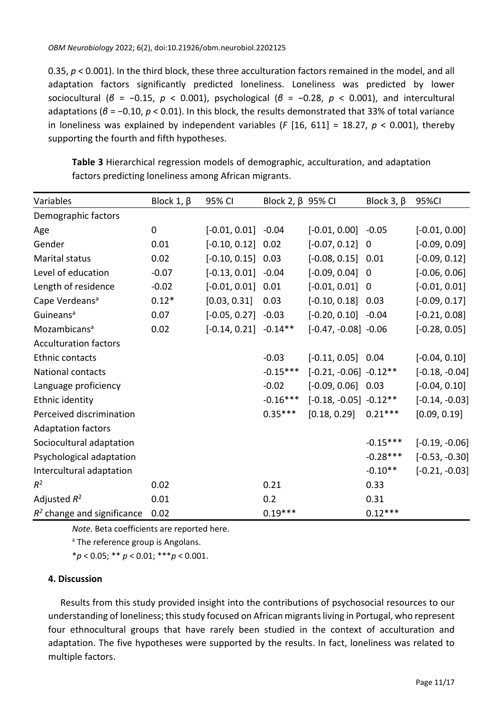0.35,  $p < 0.001$ ). In the third block, these three acculturation factors remained in the model, and all adaptation factors significantly predicted loneliness. Loneliness was predicted by lower sociocultural (*β* = −0.15, *p* < 0.001), psychological (*β* = −0.28, *p* < 0.001), and intercultural adaptations (*β* = −0.10, *p* < 0.01). In this block, the results demonstrated that 33% of total variance in loneliness was explained by independent variables (*F* [16, 611] = 18.27, *p* < 0.001), thereby supporting the fourth and fifth hypotheses.

| Variables                    | Block 1, $\beta$ | 95% CI                    | Block 2, $\beta$ 95% CI |                            | Block 3, $\beta$ | 95%CI            |
|------------------------------|------------------|---------------------------|-------------------------|----------------------------|------------------|------------------|
| Demographic factors          |                  |                           |                         |                            |                  |                  |
| Age                          | $\pmb{0}$        | $[-0.01, 0.01] -0.04$     |                         | $[-0.01, 0.00]$ $-0.05$    |                  | $[-0.01, 0.00]$  |
| Gender                       | 0.01             | $[-0.10, 0.12]$ 0.02      |                         | $[-0.07, 0.12]$            | $\mathbf 0$      | $[-0.09, 0.09]$  |
| Marital status               | 0.02             | $[-0.10, 0.15]$ 0.03      |                         | $[-0.08, 0.15]$ 0.01       |                  | $[-0.09, 0.12]$  |
| Level of education           | $-0.07$          | $[-0.13, 0.01] -0.04$     |                         | $[-0.09, 0.04]$ 0          |                  | $[-0.06, 0.06]$  |
| Length of residence          | $-0.02$          | $[-0.01, 0.01]$ 0.01      |                         | $[-0.01, 0.01]$            | $\mathbf 0$      | $[-0.01, 0.01]$  |
| Cape Verdeans <sup>a</sup>   | $0.12*$          | [0.03, 0.31]              | 0.03                    | $[-0.10, 0.18]$ 0.03       |                  | $[-0.09, 0.17]$  |
| Guineans <sup>a</sup>        | 0.07             | $[-0.05, 0.27] -0.03$     |                         | $[-0.20, 0.10] -0.04$      |                  | $[-0.21, 0.08]$  |
| Mozambicans <sup>a</sup>     | 0.02             | $[-0.14, 0.21]$ $-0.14**$ |                         | $[-0.47, -0.08] -0.06$     |                  | $[-0.28, 0.05]$  |
| <b>Acculturation factors</b> |                  |                           |                         |                            |                  |                  |
| Ethnic contacts              |                  |                           | $-0.03$                 | $[-0.11, 0.05]$ 0.04       |                  | $[-0.04, 0.10]$  |
| National contacts            |                  |                           | $-0.15***$              | $[-0.21, -0.06] -0.12**$   |                  | $[-0.18, -0.04]$ |
| Language proficiency         |                  |                           | $-0.02$                 | $[-0.09, 0.06]$ 0.03       |                  | $[-0.04, 0.10]$  |
| Ethnic identity              |                  |                           | $-0.16***$              | $[-0.18, -0.05]$ $-0.12**$ |                  | $[-0.14, -0.03]$ |
| Perceived discrimination     |                  |                           | $0.35***$               | [0.18, 0.29]               | $0.21***$        | [0.09, 0.19]     |
| <b>Adaptation factors</b>    |                  |                           |                         |                            |                  |                  |
| Sociocultural adaptation     |                  |                           |                         |                            | $-0.15***$       | $[-0.19, -0.06]$ |
| Psychological adaptation     |                  |                           |                         |                            | $-0.28***$       | $[-0.53, -0.30]$ |
| Intercultural adaptation     |                  |                           |                         |                            | $-0.10**$        | $[-0.21, -0.03]$ |
| $R^2$                        | 0.02             |                           | 0.21                    |                            | 0.33             |                  |
| Adjusted $R^2$               | 0.01             |                           | 0.2                     |                            | 0.31             |                  |
| $R2$ change and significance | 0.02             |                           | $0.19***$               |                            | $0.12***$        |                  |

**Table 3** Hierarchical regression models of demographic, acculturation, and adaptation factors predicting loneliness among African migrants.

*Note*. Beta coefficients are reported here.

<sup>a</sup> The reference group is Angolans.

\**p* < 0.05; \*\* *p* < 0.01; \*\*\**p* < 0.001.

# **4. Discussion**

Results from this study provided insight into the contributions of psychosocial resources to our understanding of loneliness; this study focused on African migrants living in Portugal, who represent four ethnocultural groups that have rarely been studied in the context of acculturation and adaptation. The five hypotheses were supported by the results. In fact, loneliness was related to multiple factors.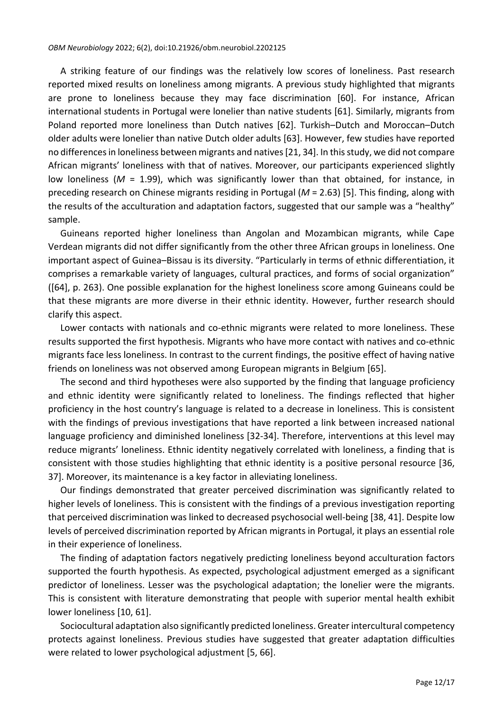A striking feature of our findings was the relatively low scores of loneliness. Past research reported mixed results on loneliness among migrants. A previous study highlighted that migrants are prone to loneliness because they may face discrimination [60]. For instance, African international students in Portugal were lonelier than native students [61]. Similarly, migrants from Poland reported more loneliness than Dutch natives [62]. Turkish–Dutch and Moroccan–Dutch older adults were lonelier than native Dutch older adults [63]. However, few studies have reported no differences in loneliness between migrants and natives[21, 34]. In this study, we did not compare African migrants' loneliness with that of natives. Moreover, our participants experienced slightly low loneliness (*M* = 1.99), which was significantly lower than that obtained, for instance, in preceding research on Chinese migrants residing in Portugal (*M* = 2.63) [5]. This finding, along with the results of the acculturation and adaptation factors, suggested that our sample was a "healthy" sample.

Guineans reported higher loneliness than Angolan and Mozambican migrants, while Cape Verdean migrants did not differ significantly from the other three African groups in loneliness. One important aspect of Guinea–Bissau is its diversity. "Particularly in terms of ethnic differentiation, it comprises a remarkable variety of languages, cultural practices, and forms of social organization" ([64], p. 263). One possible explanation for the highest loneliness score among Guineans could be that these migrants are more diverse in their ethnic identity. However, further research should clarify this aspect.

Lower contacts with nationals and co-ethnic migrants were related to more loneliness. These results supported the first hypothesis. Migrants who have more contact with natives and co-ethnic migrants face less loneliness. In contrast to the current findings, the positive effect of having native friends on loneliness was not observed among European migrants in Belgium [65].

The second and third hypotheses were also supported by the finding that language proficiency and ethnic identity were significantly related to loneliness. The findings reflected that higher proficiency in the host country's language is related to a decrease in loneliness. This is consistent with the findings of previous investigations that have reported a link between increased national language proficiency and diminished loneliness [32-34]. Therefore, interventions at this level may reduce migrants' loneliness. Ethnic identity negatively correlated with loneliness, a finding that is consistent with those studies highlighting that ethnic identity is a positive personal resource [36, 37]. Moreover, its maintenance is a key factor in alleviating loneliness.

Our findings demonstrated that greater perceived discrimination was significantly related to higher levels of loneliness. This is consistent with the findings of a previous investigation reporting that perceived discrimination was linked to decreased psychosocial well-being [38, 41]. Despite low levels of perceived discrimination reported by African migrants in Portugal, it plays an essential role in their experience of loneliness.

The finding of adaptation factors negatively predicting loneliness beyond acculturation factors supported the fourth hypothesis. As expected, psychological adjustment emerged as a significant predictor of loneliness. Lesser was the psychological adaptation; the lonelier were the migrants. This is consistent with literature demonstrating that people with superior mental health exhibit lower loneliness [10, 61].

Sociocultural adaptation also significantly predicted loneliness. Greater intercultural competency protects against loneliness. Previous studies have suggested that greater adaptation difficulties were related to lower psychological adjustment [5, 66].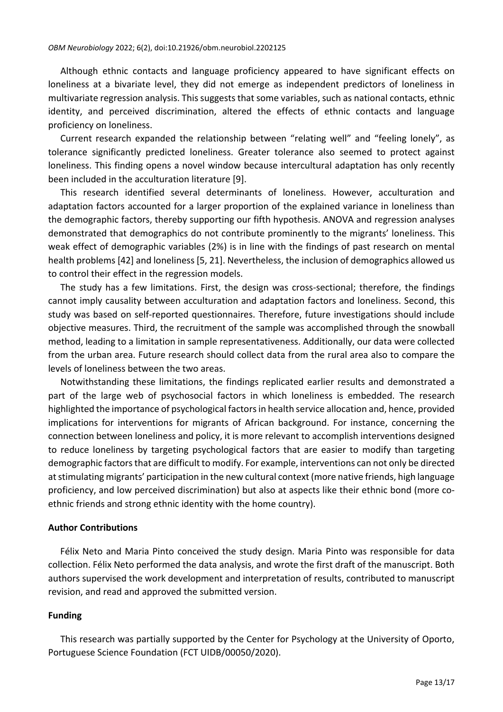Although ethnic contacts and language proficiency appeared to have significant effects on loneliness at a bivariate level, they did not emerge as independent predictors of loneliness in multivariate regression analysis. This suggests that some variables, such as national contacts, ethnic identity, and perceived discrimination, altered the effects of ethnic contacts and language proficiency on loneliness.

Current research expanded the relationship between "relating well" and "feeling lonely", as tolerance significantly predicted loneliness. Greater tolerance also seemed to protect against loneliness. This finding opens a novel window because intercultural adaptation has only recently been included in the acculturation literature [9].

This research identified several determinants of loneliness. However, acculturation and adaptation factors accounted for a larger proportion of the explained variance in loneliness than the demographic factors, thereby supporting our fifth hypothesis. ANOVA and regression analyses demonstrated that demographics do not contribute prominently to the migrants' loneliness. This weak effect of demographic variables (2%) is in line with the findings of past research on mental health problems [42] and loneliness [5, 21]. Nevertheless, the inclusion of demographics allowed us to control their effect in the regression models.

The study has a few limitations. First, the design was cross-sectional; therefore, the findings cannot imply causality between acculturation and adaptation factors and loneliness. Second, this study was based on self-reported questionnaires. Therefore, future investigations should include objective measures. Third, the recruitment of the sample was accomplished through the snowball method, leading to a limitation in sample representativeness. Additionally, our data were collected from the urban area. Future research should collect data from the rural area also to compare the levels of loneliness between the two areas.

Notwithstanding these limitations, the findings replicated earlier results and demonstrated a part of the large web of psychosocial factors in which loneliness is embedded. The research highlighted the importance of psychological factors in health service allocation and, hence, provided implications for interventions for migrants of African background. For instance, concerning the connection between loneliness and policy, it is more relevant to accomplish interventions designed to reduce loneliness by targeting psychological factors that are easier to modify than targeting demographic factors that are difficult to modify. For example, interventions can not only be directed at stimulating migrants' participation in the new cultural context (more native friends, high language proficiency, and low perceived discrimination) but also at aspects like their ethnic bond (more coethnic friends and strong ethnic identity with the home country).

# **Author Contributions**

Félix Neto and Maria Pinto conceived the study design. Maria Pinto was responsible for data collection. Félix Neto performed the data analysis, and wrote the first draft of the manuscript. Both authors supervised the work development and interpretation of results, contributed to manuscript revision, and read and approved the submitted version.

# **Funding**

This research was partially supported by the Center for Psychology at the University of Oporto, Portuguese Science Foundation (FCT UIDB/00050/2020).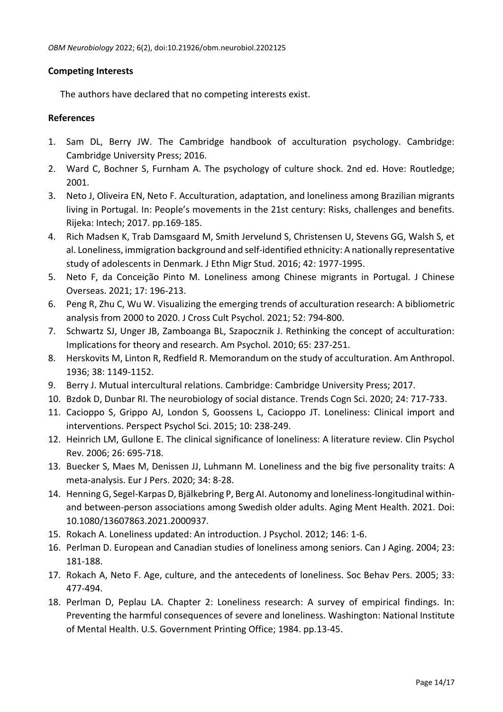# **Competing Interests**

The authors have declared that no competing interests exist.

## **References**

- 1. Sam DL, Berry JW. The Cambridge handbook of acculturation psychology. Cambridge: Cambridge University Press; 2016.
- 2. Ward C, Bochner S, Furnham A. The psychology of culture shock. 2nd ed. Hove: Routledge; 2001.
- 3. Neto J, Oliveira EN, Neto F. Acculturation, adaptation, and loneliness among Brazilian migrants living in Portugal. In: People's movements in the 21st century: Risks, challenges and benefits. Rijeka: Intech; 2017. pp.169-185.
- 4. Rich Madsen K, Trab Damsgaard M, Smith Jervelund S, Christensen U, Stevens GG, Walsh S, et al. Loneliness, immigration background and self-identified ethnicity: A nationally representative study of adolescents in Denmark. J Ethn Migr Stud. 2016; 42: 1977-1995.
- 5. Neto F, da Conceição Pinto M. Loneliness among Chinese migrants in Portugal. J Chinese Overseas. 2021; 17: 196-213.
- 6. Peng R, Zhu C, Wu W. Visualizing the emerging trends of acculturation research: A bibliometric analysis from 2000 to 2020. J Cross Cult Psychol. 2021; 52: 794-800.
- 7. Schwartz SJ, Unger JB, Zamboanga BL, Szapocznik J. Rethinking the concept of acculturation: Implications for theory and research. Am Psychol. 2010; 65: 237-251.
- 8. Herskovits M, Linton R, Redfield R. Memorandum on the study of acculturation. Am Anthropol. 1936; 38: 1149-1152.
- 9. Berry J. Mutual intercultural relations. Cambridge: Cambridge University Press; 2017.
- 10. Bzdok D, Dunbar RI. The neurobiology of social distance. Trends Cogn Sci. 2020; 24: 717-733.
- 11. Cacioppo S, Grippo AJ, London S, Goossens L, Cacioppo JT. Loneliness: Clinical import and interventions. Perspect Psychol Sci. 2015; 10: 238-249.
- 12. Heinrich LM, Gullone E. The clinical significance of loneliness: A literature review. Clin Psychol Rev. 2006; 26: 695-718.
- 13. Buecker S, Maes M, Denissen JJ, Luhmann M. Loneliness and the big five personality traits: A meta-analysis. Eur J Pers. 2020; 34: 8-28.
- 14. Henning G, Segel-Karpas D, Bjälkebring P, Berg AI. Autonomy and loneliness-longitudinal withinand between-person associations among Swedish older adults. Aging Ment Health. 2021. Doi: 10.1080/13607863.2021.2000937.
- 15. Rokach A. Loneliness updated: An introduction. J Psychol. 2012; 146: 1-6.
- 16. Perlman D. European and Canadian studies of loneliness among seniors. Can J Aging. 2004; 23: 181-188.
- 17. Rokach A, Neto F. Age, culture, and the antecedents of loneliness. Soc Behav Pers. 2005; 33: 477-494.
- 18. Perlman D, Peplau LA. Chapter 2: Loneliness research: A survey of empirical findings. In: Preventing the harmful consequences of severe and loneliness. Washington: National Institute of Mental Health. U.S. Government Printing Office; 1984. pp.13-45.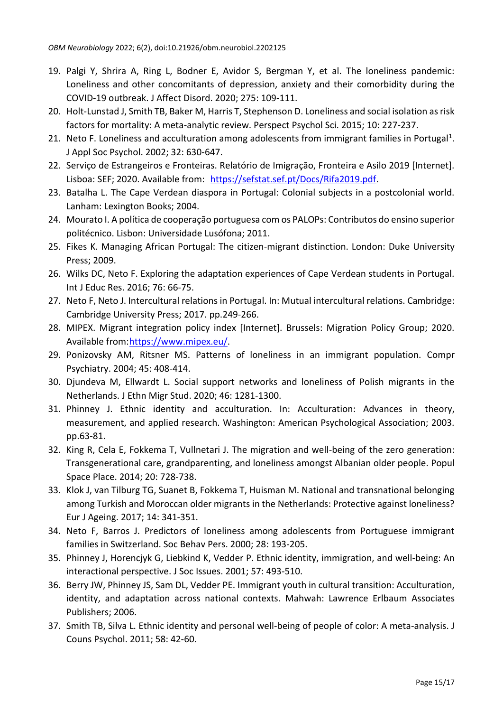- 19. Palgi Y, Shrira A, Ring L, Bodner E, Avidor S, Bergman Y, et al. The loneliness pandemic: Loneliness and other concomitants of depression, anxiety and their comorbidity during the COVID-19 outbreak. J Affect Disord. 2020; 275: 109-111.
- 20. Holt-Lunstad J, Smith TB, Baker M, Harris T, Stephenson D. Loneliness and social isolation as risk factors for mortality: A meta-analytic review. Perspect Psychol Sci. 2015; 10: 227-237.
- 21. Neto F. Loneliness and acculturation among adolescents from immigrant families in Portugal<sup>1</sup>. J Appl Soc Psychol. 2002; 32: 630-647.
- 22. Serviço de Estrangeiros e Fronteiras. Relatório de Imigração, Fronteira e Asilo 2019 [Internet]. Lisboa: SEF; 2020. Available from: [https://sefstat.sef.pt/Docs/Rifa2019.pdf.](https://sefstat.sef.pt/Docs/Rifa2019.pdf)
- 23. Batalha L. The Cape Verdean diaspora in Portugal: Colonial subjects in a postcolonial world. Lanham: Lexington Books; 2004.
- 24. Mourato I. A política de cooperação portuguesa com os PALOPs: Contributos do ensino superior politécnico. Lisbon: Universidade Lusófona; 2011.
- 25. Fikes K. Managing African Portugal: The citizen-migrant distinction. London: Duke University Press; 2009.
- 26. Wilks DC, Neto F. Exploring the adaptation experiences of Cape Verdean students in Portugal. Int J Educ Res. 2016; 76: 66-75.
- 27. Neto F, Neto J. Intercultural relations in Portugal. In: Mutual intercultural relations. Cambridge: Cambridge University Press; 2017. pp.249-266.
- 28. MIPEX. Migrant integration policy index [Internet]. Brussels: Migration Policy Group; 2020. Available from[:https://www.mipex.eu/.](https://www.mipex.eu/)
- 29. Ponizovsky AM, Ritsner MS. Patterns of loneliness in an immigrant population. Compr Psychiatry. 2004; 45: 408-414.
- 30. Djundeva M, Ellwardt L. Social support networks and loneliness of Polish migrants in the Netherlands. J Ethn Migr Stud. 2020; 46: 1281-1300.
- 31. Phinney J. Ethnic identity and acculturation. In: Acculturation: Advances in theory, measurement, and applied research. Washington: American Psychological Association; 2003. pp.63-81.
- 32. King R, Cela E, Fokkema T, Vullnetari J. The migration and well-being of the zero generation: Transgenerational care, grandparenting, and loneliness amongst Albanian older people. Popul Space Place. 2014; 20: 728-738.
- 33. Klok J, van Tilburg TG, Suanet B, Fokkema T, Huisman M. National and transnational belonging among Turkish and Moroccan older migrants in the Netherlands: Protective against loneliness? Eur J Ageing. 2017; 14: 341-351.
- 34. Neto F, Barros J. Predictors of loneliness among adolescents from Portuguese immigrant families in Switzerland. Soc Behav Pers. 2000; 28: 193-205.
- 35. Phinney J, Horencjyk G, Liebkind K, Vedder P. Ethnic identity, immigration, and well-being: An interactional perspective. J Soc Issues. 2001; 57: 493-510.
- 36. Berry JW, Phinney JS, Sam DL, Vedder PE. Immigrant youth in cultural transition: Acculturation, identity, and adaptation across national contexts. Mahwah: Lawrence Erlbaum Associates Publishers; 2006.
- 37. Smith TB, Silva L. Ethnic identity and personal well-being of people of color: A meta-analysis. J Couns Psychol. 2011; 58: 42-60.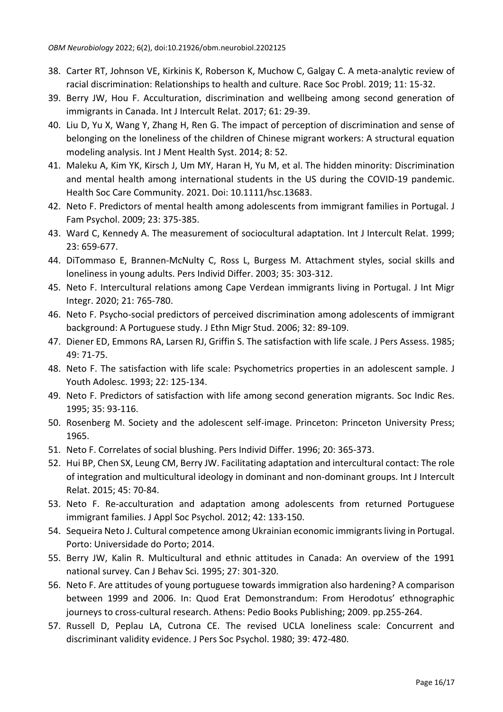- 38. Carter RT, Johnson VE, Kirkinis K, Roberson K, Muchow C, Galgay C. A meta-analytic review of racial discrimination: Relationships to health and culture. Race Soc Probl. 2019; 11: 15-32.
- 39. Berry JW, Hou F. Acculturation, discrimination and wellbeing among second generation of immigrants in Canada. Int J Intercult Relat. 2017; 61: 29-39.
- 40. Liu D, Yu X, Wang Y, Zhang H, Ren G. The impact of perception of discrimination and sense of belonging on the loneliness of the children of Chinese migrant workers: A structural equation modeling analysis. Int J Ment Health Syst. 2014; 8: 52.
- 41. Maleku A, Kim YK, Kirsch J, Um MY, Haran H, Yu M, et al. The hidden minority: Discrimination and mental health among international students in the US during the COVID-19 pandemic. Health Soc Care Community. 2021. Doi: 10.1111/hsc.13683.
- 42. Neto F. Predictors of mental health among adolescents from immigrant families in Portugal. J Fam Psychol. 2009; 23: 375-385.
- 43. Ward C, Kennedy A. The measurement of sociocultural adaptation. Int J Intercult Relat. 1999; 23: 659-677.
- 44. DiTommaso E, Brannen-McNulty C, Ross L, Burgess M. Attachment styles, social skills and loneliness in young adults. Pers Individ Differ. 2003; 35: 303-312.
- 45. Neto F. Intercultural relations among Cape Verdean immigrants living in Portugal. J Int Migr Integr. 2020; 21: 765-780.
- 46. Neto F. Psycho-social predictors of perceived discrimination among adolescents of immigrant background: A Portuguese study. J Ethn Migr Stud. 2006; 32: 89-109.
- 47. Diener ED, Emmons RA, Larsen RJ, Griffin S. The satisfaction with life scale. J Pers Assess. 1985; 49: 71-75.
- 48. Neto F. The satisfaction with life scale: Psychometrics properties in an adolescent sample. J Youth Adolesc. 1993; 22: 125-134.
- 49. Neto F. Predictors of satisfaction with life among second generation migrants. Soc Indic Res. 1995; 35: 93-116.
- 50. Rosenberg M. Society and the adolescent self-image. Princeton: Princeton University Press; 1965.
- 51. Neto F. Correlates of social blushing. Pers Individ Differ. 1996; 20: 365-373.
- 52. Hui BP, Chen SX, Leung CM, Berry JW. Facilitating adaptation and intercultural contact: The role of integration and multicultural ideology in dominant and non-dominant groups. Int J Intercult Relat. 2015; 45: 70-84.
- 53. Neto F. Re-acculturation and adaptation among adolescents from returned Portuguese immigrant families. J Appl Soc Psychol. 2012; 42: 133-150.
- 54. Sequeira Neto J. Cultural competence among Ukrainian economic immigrants living in Portugal. Porto: Universidade do Porto; 2014.
- 55. Berry JW, Kalin R. Multicultural and ethnic attitudes in Canada: An overview of the 1991 national survey. Can J Behav Sci. 1995; 27: 301-320.
- 56. Neto F. Are attitudes of young portuguese towards immigration also hardening? A comparison between 1999 and 2006. In: Quod Erat Demonstrandum: From Herodotus' ethnographic journeys to cross-cultural research. Athens: Pedio Books Publishing; 2009. pp.255-264.
- 57. Russell D, Peplau LA, Cutrona CE. The revised UCLA loneliness scale: Concurrent and discriminant validity evidence. J Pers Soc Psychol. 1980; 39: 472-480.